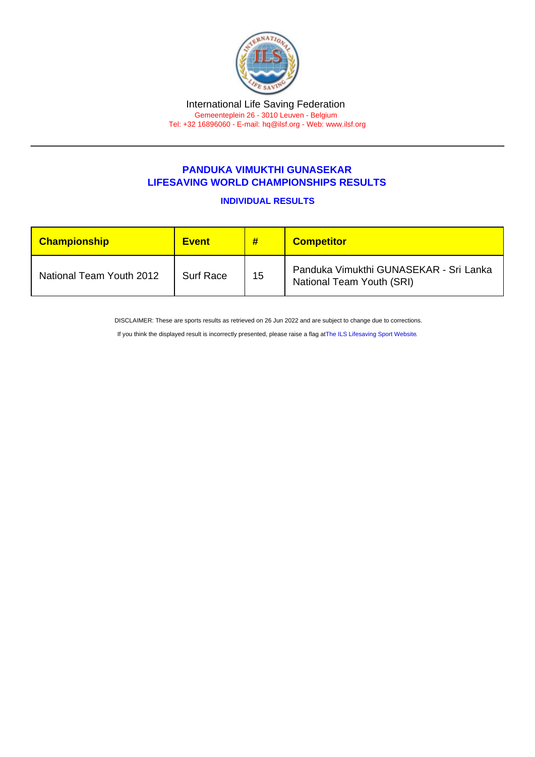## PANDUKA VIMUKTHI GUNASEKAR LIFESAVING WORLD CHAMPIONSHIPS RESULTS

INDIVIDUAL RESULTS

| <b>Championship</b>      | <b>Event</b>     | #  | <b>Competitor</b>                                                   |
|--------------------------|------------------|----|---------------------------------------------------------------------|
| National Team Youth 2012 | <b>Surf Race</b> | 15 | Panduka Vimukthi GUNASEKAR - Sri Lanka<br>National Team Youth (SRI) |

DISCLAIMER: These are sports results as retrieved on 26 Jun 2022 and are subject to change due to corrections.

If you think the displayed result is incorrectly presented, please raise a flag at [The ILS Lifesaving Sport Website.](https://sport.ilsf.org)